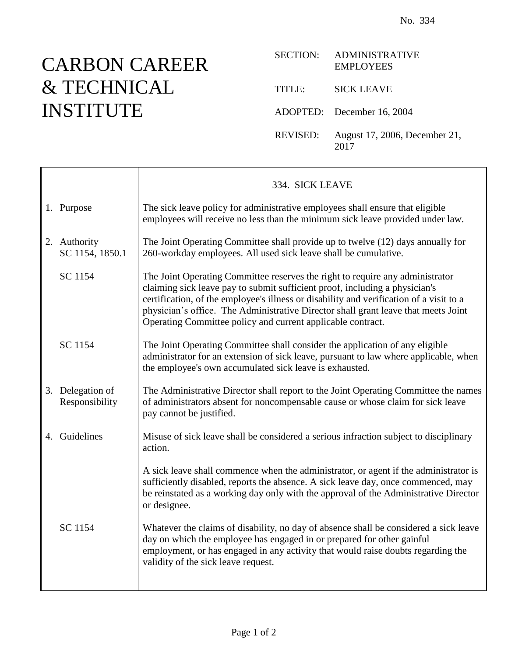## CARBON CAREER & TECHNICAL INSTITUTE

 $\Gamma$ 

| <b>SECTION:</b> | <b>ADMINISTRATIVE</b><br><b>EMPLOYEES</b> |
|-----------------|-------------------------------------------|
| TITLE:          | <b>SICK LEAVE</b>                         |
|                 | ADOPTED: December 16, 2004                |
| REVISED:        | August 17, 2006, December 21,<br>2017     |

|                                    | 334. SICK LEAVE                                                                                                                                                                                                                                                                                                                                                                                              |
|------------------------------------|--------------------------------------------------------------------------------------------------------------------------------------------------------------------------------------------------------------------------------------------------------------------------------------------------------------------------------------------------------------------------------------------------------------|
| 1. Purpose                         | The sick leave policy for administrative employees shall ensure that eligible<br>employees will receive no less than the minimum sick leave provided under law.                                                                                                                                                                                                                                              |
| 2. Authority<br>SC 1154, 1850.1    | The Joint Operating Committee shall provide up to twelve (12) days annually for<br>260-workday employees. All used sick leave shall be cumulative.                                                                                                                                                                                                                                                           |
| SC 1154                            | The Joint Operating Committee reserves the right to require any administrator<br>claiming sick leave pay to submit sufficient proof, including a physician's<br>certification, of the employee's illness or disability and verification of a visit to a<br>physician's office. The Administrative Director shall grant leave that meets Joint<br>Operating Committee policy and current applicable contract. |
| SC 1154                            | The Joint Operating Committee shall consider the application of any eligible<br>administrator for an extension of sick leave, pursuant to law where applicable, when<br>the employee's own accumulated sick leave is exhausted.                                                                                                                                                                              |
| 3. Delegation of<br>Responsibility | The Administrative Director shall report to the Joint Operating Committee the names<br>of administrators absent for noncompensable cause or whose claim for sick leave<br>pay cannot be justified.                                                                                                                                                                                                           |
| 4. Guidelines                      | Misuse of sick leave shall be considered a serious infraction subject to disciplinary<br>action.                                                                                                                                                                                                                                                                                                             |
|                                    | A sick leave shall commence when the administrator, or agent if the administrator is<br>sufficiently disabled, reports the absence. A sick leave day, once commenced, may<br>be reinstated as a working day only with the approval of the Administrative Director<br>or designee.                                                                                                                            |
| SC 1154                            | Whatever the claims of disability, no day of absence shall be considered a sick leave<br>day on which the employee has engaged in or prepared for other gainful<br>employment, or has engaged in any activity that would raise doubts regarding the<br>validity of the sick leave request.                                                                                                                   |